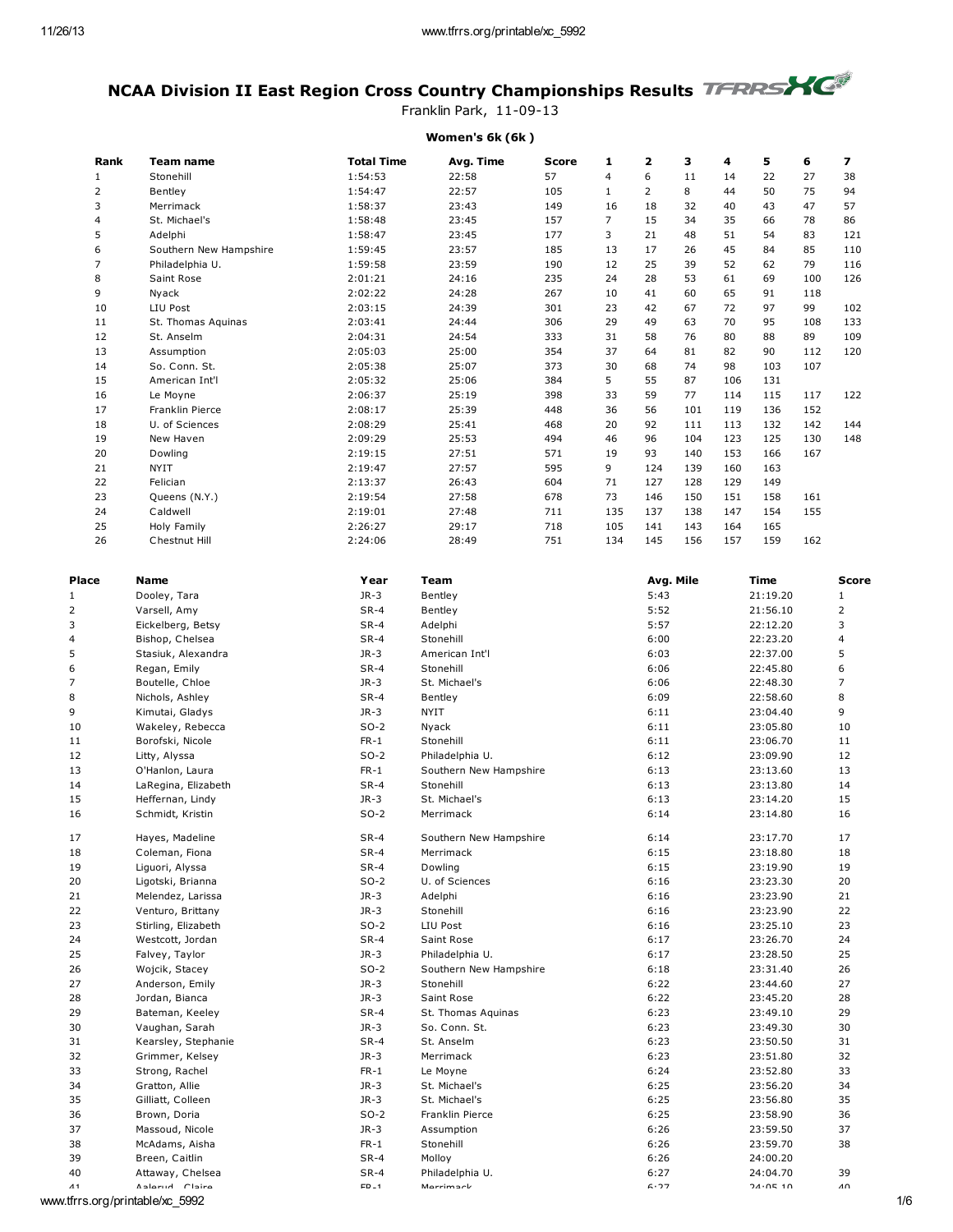## NCAA Division II East Region Cross Country Championships Results TERRSYC

Franklin Park, 11-09-13

## Women's 6k (6k )

| Rank           | Team name              | <b>Total Time</b> | Avg. Time | <b>Score</b> | 1              | $\overline{\mathbf{z}}$ | 3   | 4   | 5   | 6   | 7   |
|----------------|------------------------|-------------------|-----------|--------------|----------------|-------------------------|-----|-----|-----|-----|-----|
| 1              | Stonehill              | 1:54:53           | 22:58     | 57           | 4              | 6                       | 11  | 14  | 22  | 27  | 38  |
| 2              | Bentlev                | 1:54:47           | 22:57     | 105          | $\mathbf{1}$   | 2                       | 8   | 44  | 50  | 75  | 94  |
| 3              | Merrimack              | 1:58:37           | 23:43     | 149          | 16             | 18                      | 32  | 40  | 43  | 47  | 57  |
| 4              | St. Michael's          | 1:58:48           | 23:45     | 157          | $\overline{7}$ | 15                      | 34  | 35  | 66  | 78  | 86  |
| 5              | Adelphi                | 1:58:47           | 23:45     | 177          | 3              | 21                      | 48  | 51  | 54  | 83  | 121 |
| 6              | Southern New Hampshire | 1:59:45           | 23:57     | 185          | 13             | 17                      | 26  | 45  | 84  | 85  | 110 |
| $\overline{7}$ | Philadelphia U.        | 1:59:58           | 23:59     | 190          | 12             | 25                      | 39  | 52  | 62  | 79  | 116 |
| 8              | Saint Rose             | 2:01:21           | 24:16     | 235          | 24             | 28                      | 53  | 61  | 69  | 100 | 126 |
| 9              | Nyack                  | 2:02:22           | 24:28     | 267          | 10             | 41                      | 60  | 65  | 91  | 118 |     |
| 10             | LIU Post               | 2:03:15           | 24:39     | 301          | 23             | 42                      | 67  | 72  | 97  | 99  | 102 |
| 11             | St. Thomas Aquinas     | 2:03:41           | 24:44     | 306          | 29             | 49                      | 63  | 70  | 95  | 108 | 133 |
| 12             | St. Anselm             | 2:04:31           | 24:54     | 333          | 31             | 58                      | 76  | 80  | 88  | 89  | 109 |
| 13             | Assumption             | 2:05:03           | 25:00     | 354          | 37             | 64                      | 81  | 82  | 90  | 112 | 120 |
| 14             | So. Conn. St.          | 2:05:38           | 25:07     | 373          | 30             | 68                      | 74  | 98  | 103 | 107 |     |
| 15             | American Int'l         | 2:05:32           | 25:06     | 384          | 5              | 55                      | 87  | 106 | 131 |     |     |
| 16             | Le Moyne               | 2:06:37           | 25:19     | 398          | 33             | 59                      | 77  | 114 | 115 | 117 | 122 |
| 17             | Franklin Pierce        | 2:08:17           | 25:39     | 448          | 36             | 56                      | 101 | 119 | 136 | 152 |     |
| 18             | U. of Sciences         | 2:08:29           | 25:41     | 468          | 20             | 92                      | 111 | 113 | 132 | 142 | 144 |
| 19             | New Haven              | 2:09:29           | 25:53     | 494          | 46             | 96                      | 104 | 123 | 125 | 130 | 148 |
| 20             | Dowling                | 2:19:15           | 27:51     | 571          | 19             | 93                      | 140 | 153 | 166 | 167 |     |
| 21             | <b>NYIT</b>            | 2:19:47           | 27:57     | 595          | 9              | 124                     | 139 | 160 | 163 |     |     |
| 22             | Felician               | 2:13:37           | 26:43     | 604          | 71             | 127                     | 128 | 129 | 149 |     |     |
| 23             | Queens (N.Y.)          | 2:19:54           | 27:58     | 678          | 73             | 146                     | 150 | 151 | 158 | 161 |     |
| 24             | Caldwell               | 2:19:01           | 27:48     | 711          | 135            | 137                     | 138 | 147 | 154 | 155 |     |
| 25             | Holy Family            | 2:26:27           | 29:17     | 718          | 105            | 141                     | 143 | 164 | 165 |     |     |
| 26             | Chestnut Hill          | 2:24:06           | 28:49     | 751          | 134            | 145                     | 156 | 157 | 159 | 162 |     |
|                |                        |                   |           |              |                |                         |     |     |     |     |     |

| Place          | Name                            | Year     | Team                   | Avg. Mile | Time     | <b>Score</b>        |
|----------------|---------------------------------|----------|------------------------|-----------|----------|---------------------|
| $\mathbf{1}$   | Dooley, Tara                    | $JR-3$   | Bentley                | 5:43      | 21:19.20 | $\mathbf{1}$        |
| $\overline{2}$ | Varsell, Amy                    | $SR-4$   | Bentley                | 5:52      | 21:56.10 | $\overline{2}$      |
| 3              | Eickelberg, Betsy               | $SR-4$   | Adelphi                | 5:57      | 22:12.20 | 3                   |
| $\overline{4}$ | Bishop, Chelsea                 | $SR-4$   | Stonehill              | 6:00      | 22:23.20 | 4                   |
| 5              | Stasiuk, Alexandra              | $JR-3$   | American Int'l         | 6:03      | 22:37.00 | 5                   |
| 6              | Regan, Emily                    | $SR-4$   | Stonehill              | 6:06      | 22:45.80 | 6                   |
| $\overline{7}$ | Boutelle, Chloe                 | $JR-3$   | St. Michael's          | 6:06      | 22:48.30 | $\overline{7}$      |
| 8              | Nichols, Ashley                 | $SR-4$   | Bentley                | 6:09      | 22:58.60 | 8                   |
| 9              | Kimutai, Gladys                 | $JR-3$   | <b>NYIT</b>            | 6:11      | 23:04.40 | 9                   |
| 10             | Wakeley, Rebecca                | $SO-2$   | Nyack                  | 6:11      | 23:05.80 | 10                  |
| 11             | Borofski, Nicole                | $FR-1$   | Stonehill              | 6:11      | 23:06.70 | 11                  |
| 12             | Litty, Alyssa                   | $SO-2$   | Philadelphia U.        | 6:12      | 23:09.90 | 12                  |
| 13             | O'Hanlon, Laura                 | $FR-1$   | Southern New Hampshire | 6:13      | 23:13.60 | 13                  |
| 14             | LaRegina, Elizabeth             | $SR-4$   | Stonehill              | 6:13      | 23:13.80 | 14                  |
| 15             | Heffernan, Lindy                | $JR-3$   | St. Michael's          | 6:13      | 23:14.20 | 15                  |
| 16             | Schmidt, Kristin                | $SO-2$   | Merrimack              | 6:14      | 23:14.80 | 16                  |
| 17             | Hayes, Madeline                 | $SR-4$   | Southern New Hampshire | 6:14      | 23:17.70 | 17                  |
| 18             | Coleman, Fiona                  | $SR-4$   | Merrimack              | 6:15      | 23:18.80 | 18                  |
| 19             | Liguori, Alyssa                 | $SR-4$   | Dowling                | 6:15      | 23:19.90 | 19                  |
| 20             | Ligotski, Brianna               | $SO-2$   | U. of Sciences         | 6:16      | 23:23.30 | 20                  |
| 21             | Melendez, Larissa               | JR-3     | Adelphi                | 6:16      | 23:23.90 | 21                  |
| 22             | Venturo, Brittany               | $JR-3$   | Stonehill              | 6:16      | 23:23.90 | 22                  |
| 23             | Stirling, Elizabeth             | $SO-2$   | LIU Post               | 6:16      | 23:25.10 | 23                  |
| 24             | Westcott, Jordan                | $SR-4$   | Saint Rose             | 6:17      | 23:26.70 | 24                  |
| 25             | Falvey, Taylor                  | $JR-3$   | Philadelphia U.        | 6:17      | 23:28.50 | 25                  |
| 26             | Wojcik, Stacey                  | $SO-2$   | Southern New Hampshire | 6:18      | 23:31.40 | 26                  |
| 27             | Anderson, Emily                 | $JR-3$   | Stonehill              | 6:22      | 23:44.60 | 27                  |
| 28             | Jordan, Bianca                  | JR-3     | Saint Rose             | 6:22      | 23:45.20 | 28                  |
| 29             | Bateman, Keeley                 | $SR-4$   | St. Thomas Aquinas     | 6:23      | 23:49.10 | 29                  |
| 30             | Vaughan, Sarah                  | JR-3     | So. Conn. St.          | 6:23      | 23:49.30 | 30                  |
| 31             | Kearsley, Stephanie             | $SR-4$   | St. Anselm             | 6:23      | 23:50.50 | 31                  |
| 32             | Grimmer, Kelsey                 | $JR-3$   | Merrimack              | 6:23      | 23:51.80 | 32                  |
| 33             | Strong, Rachel                  | $FR-1$   | Le Moyne               | 6:24      | 23:52.80 | 33                  |
| 34             | Gratton, Allie                  | $JR-3$   | St. Michael's          | 6:25      | 23:56.20 | 34                  |
| 35             | Gilliatt, Colleen               | $JR-3$   | St. Michael's          | 6:25      | 23:56.80 | 35                  |
| 36             | Brown, Doria                    | $SO-2$   | Franklin Pierce        | 6:25      | 23:58.90 | 36                  |
| 37             | Massoud, Nicole                 | JR-3     | Assumption             | 6:26      | 23:59.50 | 37                  |
| 38             | McAdams, Aisha                  | $FR-1$   | Stonehill              | 6:26      | 23:59.70 | 38                  |
| 39             | Breen, Caitlin                  | $SR-4$   | Molloy                 | 6:26      | 24:00.20 |                     |
| 40             | Attaway, Chelsea                | $SR-4$   | Philadelphia U.        | 6:27      | 24:04.70 | 39                  |
| $\Lambda$ 1    | Aslarud Claira                  | $FD = 1$ | Marrimack              | 6.77      | 71.0510  | $\Lambda$ $\Lambda$ |
|                | www.tfrrs.org/printable/xc 5992 |          |                        |           |          | 1/6                 |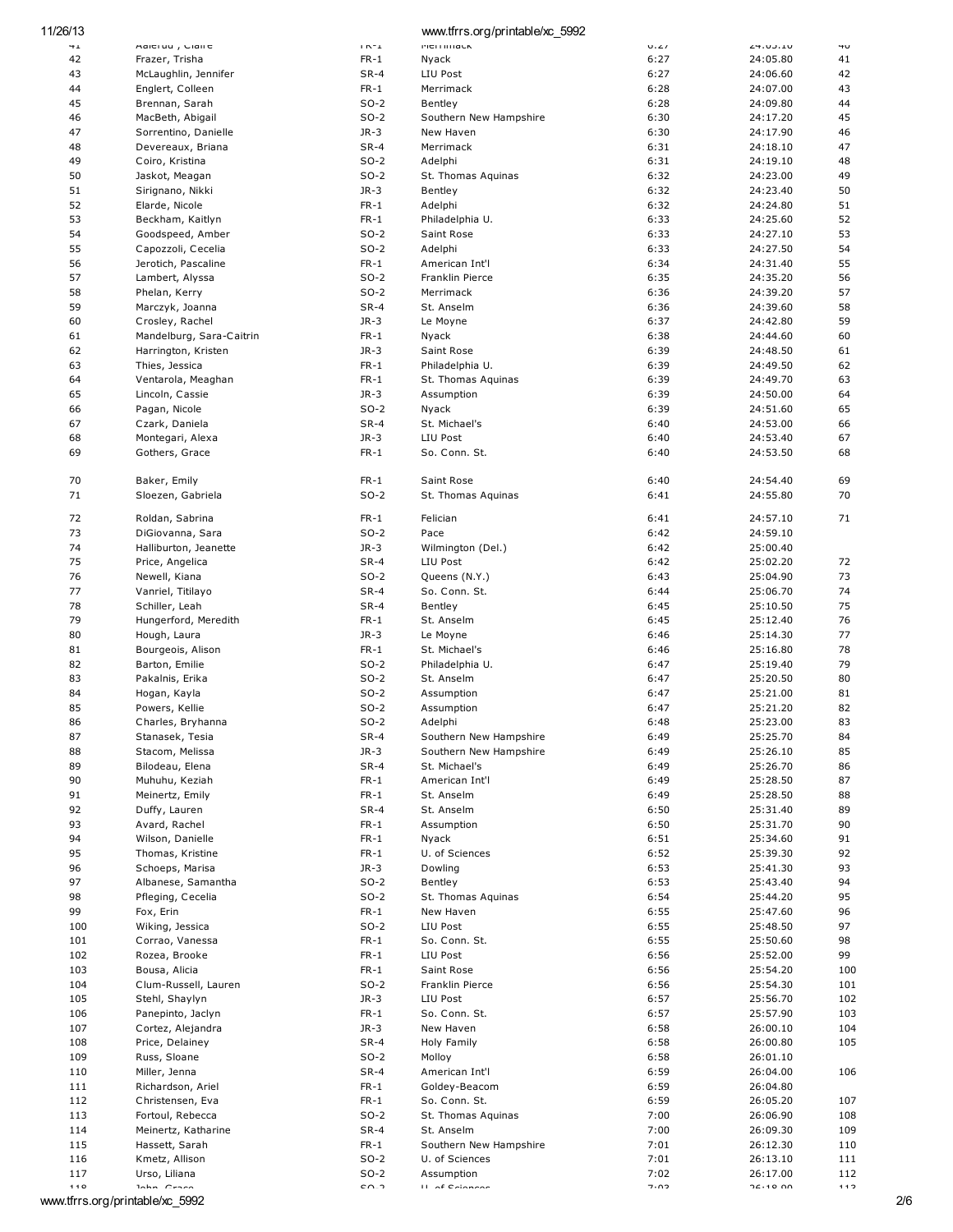| 11/26/13        |                          |                                 | www.tfrrs.org/printable/xc 5992 |             |                |     |
|-----------------|--------------------------|---------------------------------|---------------------------------|-------------|----------------|-----|
| $\rightarrow$ 1 | Halti uu , Ciali t       | $\Gamma\mathbb{N}^+ \mathbb{1}$ | <b>PICTITITIQUA</b>             | $U \cdot L$ | <b>4.00.10</b> | ΨU  |
| 42              | Frazer, Trisha           | $FR-1$                          | Nyack                           | 6:27        | 24:05.80       | 41  |
| 43              | McLaughlin, Jennifer     | $SR-4$                          | LIU Post                        | 6:27        | 24:06.60       | 42  |
| 44              | Englert, Colleen         | $FR-1$                          | Merrimack                       | 6:28        | 24:07.00       | 43  |
| 45              | Brennan, Sarah           | $SO-2$                          | Bentley                         | 6:28        | 24:09.80       | 44  |
| 46              | MacBeth, Abigail         | $SO-2$                          | Southern New Hampshire          | 6:30        | 24:17.20       | 45  |
| 47              | Sorrentino, Danielle     | $JR-3$                          | New Haven                       | 6:30        | 24:17.90       | 46  |
| 48              | Devereaux, Briana        | $SR-4$                          | Merrimack                       | 6:31        | 24:18.10       | 47  |
| 49              | Coiro, Kristina          | $SO-2$                          | Adelphi                         | 6:31        | 24:19.10       | 48  |
| 50              | Jaskot, Meagan           | $SO-2$                          | St. Thomas Aquinas              | 6:32        | 24:23.00       | 49  |
| 51              |                          | $JR-3$                          |                                 |             |                | 50  |
|                 | Sirignano, Nikki         |                                 | Bentley                         | 6:32        | 24:23.40       |     |
| 52              | Elarde, Nicole           | $FR-1$                          | Adelphi                         | 6:32        | 24:24.80       | 51  |
| 53              | Beckham, Kaitlyn         | $FR-1$                          | Philadelphia U.                 | 6:33        | 24:25.60       | 52  |
| 54              | Goodspeed, Amber         | $SO-2$                          | Saint Rose                      | 6:33        | 24:27.10       | 53  |
| 55              | Capozzoli, Cecelia       | $SO-2$                          | Adelphi                         | 6:33        | 24:27.50       | 54  |
| 56              | Jerotich, Pascaline      | $FR-1$                          | American Int'l                  | 6:34        | 24:31.40       | 55  |
| 57              | Lambert, Alyssa          | $SO-2$                          | Franklin Pierce                 | 6:35        | 24:35.20       | 56  |
| 58              | Phelan, Kerry            | $SO-2$                          | Merrimack                       | 6:36        | 24:39.20       | 57  |
| 59              | Marczyk, Joanna          | $SR-4$                          | St. Anselm                      | 6:36        | 24:39.60       | 58  |
| 60              | Crosley, Rachel          | $JR-3$                          | Le Moyne                        | 6:37        | 24:42.80       | 59  |
| 61              | Mandelburg, Sara-Caitrin | $FR-1$                          | Nyack                           | 6:38        | 24:44.60       | 60  |
| 62              | Harrington, Kristen      | $JR-3$                          | Saint Rose                      | 6:39        | 24:48.50       | 61  |
| 63              | Thies, Jessica           | $FR-1$                          | Philadelphia U.                 | 6:39        | 24:49.50       | 62  |
| 64              | Ventarola, Meaghan       | $FR-1$                          | St. Thomas Aquinas              | 6:39        | 24:49.70       | 63  |
| 65              | Lincoln, Cassie          | $JR-3$                          | Assumption                      | 6:39        | 24:50.00       | 64  |
| 66              |                          | $SO-2$                          |                                 | 6:39        | 24:51.60       | 65  |
|                 | Pagan, Nicole            |                                 | Nyack                           |             |                |     |
| 67              | Czark, Daniela           | $SR-4$                          | St. Michael's                   | 6:40        | 24:53.00       | 66  |
| 68              | Montegari, Alexa         | $JR-3$                          | LIU Post                        | 6:40        | 24:53.40       | 67  |
| 69              | Gothers, Grace           | $FR-1$                          | So. Conn. St.                   | 6:40        | 24:53.50       | 68  |
|                 |                          |                                 |                                 |             |                |     |
| 70              | Baker, Emily             | $FR-1$                          | Saint Rose                      | 6:40        | 24:54.40       | 69  |
| 71              | Sloezen, Gabriela        | $SO-2$                          | St. Thomas Aquinas              | 6:41        | 24:55.80       | 70  |
|                 |                          |                                 |                                 |             |                |     |
| 72              | Roldan, Sabrina          | $FR-1$                          | Felician                        | 6:41        | 24:57.10       | 71  |
| 73              | DiGiovanna, Sara         | $SO-2$                          | Pace                            | 6:42        | 24:59.10       |     |
| 74              | Halliburton, Jeanette    | $JR-3$                          | Wilmington (Del.)               | 6:42        | 25:00.40       |     |
| 75              | Price, Angelica          | $SR-4$                          | LIU Post                        | 6:42        | 25:02.20       | 72  |
| 76              | Newell, Kiana            | $SO-2$                          | Queens (N.Y.)                   | 6:43        | 25:04.90       | 73  |
| 77              | Vanriel, Titilayo        | $SR-4$                          | So. Conn. St.                   | 6:44        | 25:06.70       | 74  |
| 78              | Schiller, Leah           | $SR-4$                          | Bentley                         | 6:45        | 25:10.50       | 75  |
| 79              | Hungerford, Meredith     | $FR-1$                          | St. Anselm                      | 6:45        | 25:12.40       | 76  |
| 80              | Hough, Laura             | $JR-3$                          | Le Moyne                        | 6:46        | 25:14.30       | 77  |
| 81              | Bourgeois, Alison        | $FR-1$                          | St. Michael's                   | 6:46        | 25:16.80       | 78  |
| 82              |                          |                                 |                                 |             |                | 79  |
|                 | Barton, Emilie           | $SO-2$                          | Philadelphia U.                 | 6:47        | 25:19.40       |     |
| 83              | Pakalnis, Erika          | $SO-2$                          | St. Anselm                      | 6:47        | 25:20.50       | 80  |
| 84              | Hogan, Kayla             | $SO-2$                          | Assumption                      | 6:47        | 25:21.00       | 81  |
| 85              | Powers, Kellie           | $SO-2$                          | Assumption                      | 6:47        | 25:21.20       | 82  |
| 86              | Charles, Bryhanna        | $SO-2$                          | Adelphi                         | 6:48        | 25:23.00       | 83  |
| 87              | Stanasek, Tesia          | $SR-4$                          | Southern New Hampshire          | 6:49        | 25:25.70       | 84  |
| 88              | Stacom, Melissa          | $JR-3$                          | Southern New Hampshire          | 6:49        | 25:26.10       | 85  |
| 89              | Bilodeau, Elena          | SR-4                            | St. Michael's                   | 6:49        | 25:26.70       | 86  |
| 90              | Muhuhu, Keziah           | $FR-1$                          | American Int'l                  | 6:49        | 25:28.50       | 87  |
| 91              | Meinertz, Emily          | $FR-1$                          | St. Anselm                      | 6:49        | 25:28.50       | 88  |
| 92              | Duffy, Lauren            | $SR-4$                          | St. Anselm                      | 6:50        | 25:31.40       | 89  |
| 93              | Avard, Rachel            | $FR-1$                          | Assumption                      | 6:50        | 25:31.70       | 90  |
| 94              | Wilson, Danielle         | $FR-1$                          | Nyack                           | 6:51        | 25:34.60       | 91  |
| 95              | Thomas, Kristine         | $FR-1$                          | U. of Sciences                  | 6:52        | 25:39.30       | 92  |
| 96              | Schoeps, Marisa          | $JR-3$                          | Dowling                         | 6:53        | 25:41.30       | 93  |
| 97              | Albanese, Samantha       | $SO-2$                          | Bentley                         | 6:53        | 25:43.40       | 94  |
|                 |                          |                                 |                                 |             |                | 95  |
| 98              | Pfleging, Cecelia        | $SO-2$                          | St. Thomas Aquinas              | 6:54        | 25:44.20       |     |
| 99              | Fox, Erin                | $FR-1$                          | New Haven                       | 6:55        | 25:47.60       | 96  |
| 100             | Wiking, Jessica          | $SO-2$                          | LIU Post                        | 6:55        | 25:48.50       | 97  |
| 101             | Corrao, Vanessa          | $FR-1$                          | So. Conn. St.                   | 6:55        | 25:50.60       | 98  |
| 102             | Rozea, Brooke            | $FR-1$                          | LIU Post                        | 6:56        | 25:52.00       | 99  |
| 103             | Bousa, Alicia            | $FR-1$                          | Saint Rose                      | 6:56        | 25:54.20       | 100 |
| 104             | Clum-Russell, Lauren     | $SO-2$                          | Franklin Pierce                 | 6:56        | 25:54.30       | 101 |
| 105             | Stehl, Shaylyn           | $JR-3$                          | LIU Post                        | 6:57        | 25:56.70       | 102 |
| 106             | Panepinto, Jaclyn        | $FR-1$                          | So. Conn. St.                   | 6:57        | 25:57.90       | 103 |
| 107             | Cortez, Alejandra        | $JR-3$                          | New Haven                       | 6:58        | 26:00.10       | 104 |
| 108             | Price, Delainey          | $SR-4$                          | Holy Family                     | 6:58        | 26:00.80       | 105 |
| 109             | Russ, Sloane             | $SO-2$                          | Molloy                          | 6:58        | 26:01.10       |     |
| 110             | Miller, Jenna            | $SR-4$                          | American Int'l                  | 6:59        | 26:04.00       | 106 |
| 111             |                          | $FR-1$                          | Goldey-Beacom                   | 6:59        |                |     |
|                 | Richardson, Ariel        |                                 |                                 |             | 26:04.80       |     |
| 112             | Christensen, Eva         | $FR-1$                          | So. Conn. St.                   | 6:59        | 26:05.20       | 107 |
| 113             | Fortoul, Rebecca         | $SO-2$                          | St. Thomas Aquinas              | 7:00        | 26:06.90       | 108 |
| 114             | Meinertz, Katharine      | $SR-4$                          | St. Anselm                      | 7:00        | 26:09.30       | 109 |
| 115             | Hassett, Sarah           | $FR-1$                          | Southern New Hampshire          | 7:01        | 26:12.30       | 110 |
| 116             | Kmetz, Allison           | $SO-2$                          | U. of Sciences                  | 7:01        | 26:13.10       | 111 |
| 117             | Urso, Liliana            | $SO-2$                          | Assumption                      | 7:02        | 26:17.00       | 112 |
| 110             | lahn Croco               | $c \wedge$ כ                    | <b>II</b> of Colonnon           | כחיב        | חח סוּ אר      | 112 |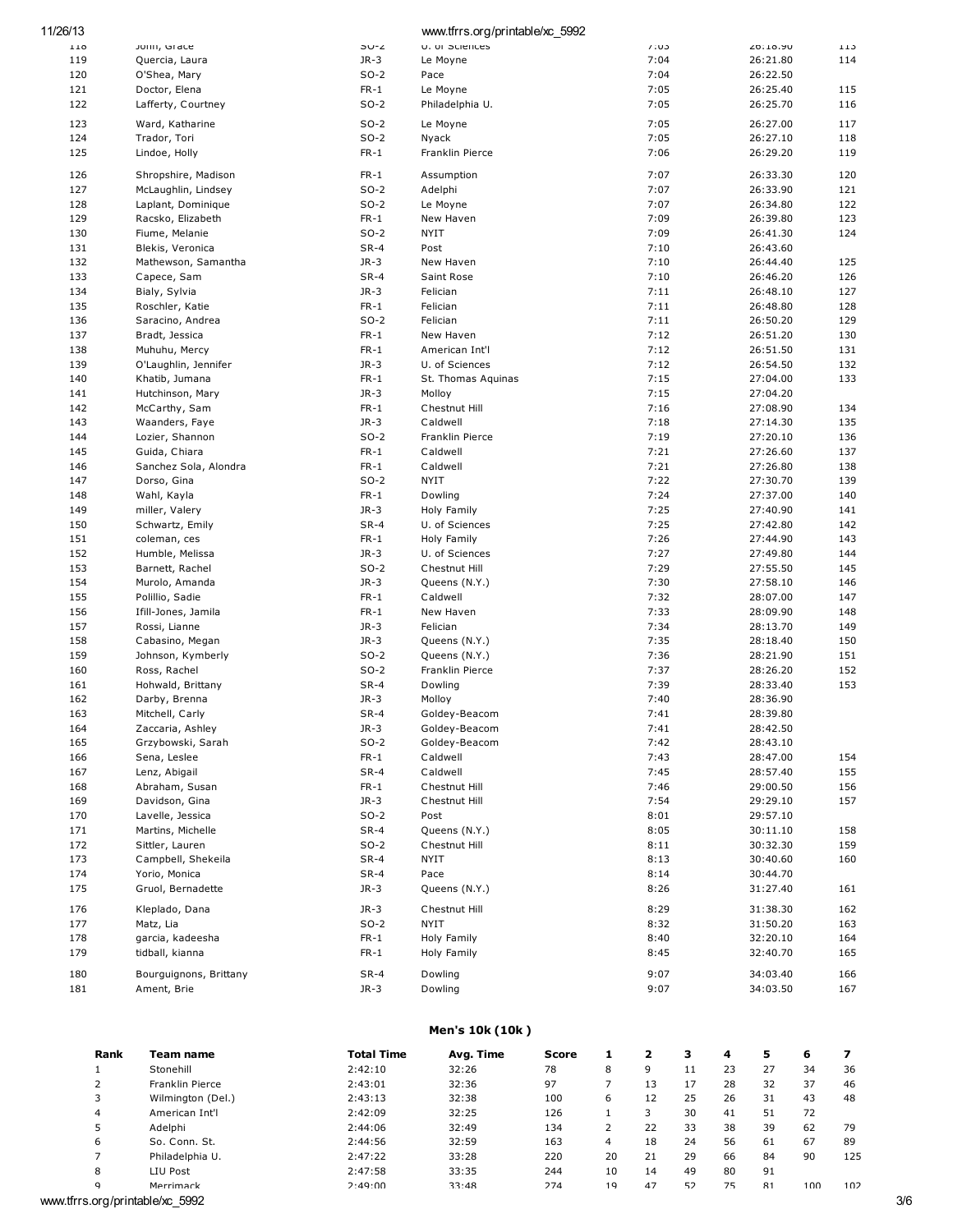| 11/26/13   |                                       |                  | www.tfrrs.org/printable/xc 5992 |              |                      |            |
|------------|---------------------------------------|------------------|---------------------------------|--------------|----------------------|------------|
| 110        | Jonn, Grace                           | SU-Z             | U. OF SCIENCES                  | 7:03         | 50:19.90             | 113        |
| 119        | Quercia, Laura                        | $JR-3$           | Le Moyne                        | 7:04         | 26:21.80             | 114        |
| 120        | O'Shea, Mary                          | $SO-2$           | Pace                            | 7:04         | 26:22.50             |            |
| 121        | Doctor, Elena                         | $FR-1$           | Le Moyne                        | 7:05         | 26:25.40             | 115        |
| 122        | Lafferty, Courtney                    | $SO-2$           | Philadelphia U.                 | 7:05         | 26:25.70             | 116        |
| 123        | Ward, Katharine                       | $SO-2$           | Le Moyne                        | 7:05         | 26:27.00             | 117        |
| 124        | Trador, Tori                          | $SO-2$           | Nyack                           | 7:05         | 26:27.10             | 118        |
| 125        | Lindoe, Holly                         | $FR-1$           | Franklin Pierce                 | 7:06         | 26:29.20             | 119        |
| 126        | Shropshire, Madison                   | $FR-1$           | Assumption                      | 7:07         | 26:33.30             | 120        |
| 127        | McLaughlin, Lindsey                   | $SO-2$           | Adelphi                         | 7:07         | 26:33.90             | 121        |
| 128        | Laplant, Dominique                    | $SO-2$           | Le Moyne                        | 7:07         | 26:34.80             | 122        |
| 129        | Racsko, Elizabeth                     | $FR-1$           | New Haven                       | 7:09         | 26:39.80             | 123        |
| 130        | Fiume, Melanie                        | $SO-2$           | <b>NYIT</b>                     | 7:09         | 26:41.30             | 124        |
| 131        | Blekis, Veronica                      | $SR-4$           | Post                            | 7:10         | 26:43.60             |            |
| 132        | Mathewson, Samantha                   | $JR-3$           | New Haven                       | 7:10         | 26:44.40             | 125        |
| 133        | Capece, Sam                           | $SR-4$           | Saint Rose                      | 7:10         | 26:46.20             | 126        |
| 134        | Bialy, Sylvia                         | $JR-3$           | Felician                        | 7:11         | 26:48.10             | 127        |
| 135        | Roschler, Katie                       | $FR-1$           | Felician                        | 7:11         | 26:48.80             | 128        |
| 136        | Saracino, Andrea                      | $SO-2$           | Felician                        | 7:11         | 26:50.20             | 129        |
| 137        | Bradt, Jessica                        | $FR-1$           | New Haven                       | 7:12         | 26:51.20             | 130        |
| 138        | Muhuhu, Mercy                         | $FR-1$           | American Int'l                  | 7:12         | 26:51.50             | 131        |
| 139        | O'Laughlin, Jennifer                  | $JR-3$           | U. of Sciences                  | 7:12         | 26:54.50             | 132        |
| 140        | Khatib, Jumana                        | $FR-1$           | St. Thomas Aquinas              | 7:15         | 27:04.00             | 133        |
| 141        | Hutchinson, Mary                      | $JR-3$           | Molloy                          | 7:15         | 27:04.20             |            |
| 142        | McCarthy, Sam                         | $FR-1$           | Chestnut Hill                   | 7:16         | 27:08.90             | 134        |
| 143        | Waanders, Faye                        | $JR-3$           | Caldwell                        | 7:18         | 27:14.30             | 135        |
| 144        | Lozier, Shannon                       | $SO-2$           | Franklin Pierce                 | 7:19         | 27:20.10             | 136        |
| 145        | Guida, Chiara                         | $FR-1$           | Caldwell                        | 7:21         | 27:26.60             | 137        |
| 146        | Sanchez Sola, Alondra                 | $FR-1$           | Caldwell                        | 7:21         | 27:26.80             | 138        |
| 147        | Dorso, Gina                           | $SO-2$           | <b>NYIT</b>                     | 7:22         | 27:30.70             | 139        |
| 148<br>149 | Wahl, Kayla                           | $FR-1$<br>$JR-3$ | Dowling                         | 7:24<br>7:25 | 27:37.00             | 140<br>141 |
| 150        | miller, Valery<br>Schwartz, Emily     | $SR-4$           | Holy Family<br>U. of Sciences   | 7:25         | 27:40.90<br>27:42.80 | 142        |
| 151        | coleman, ces                          | $FR-1$           | Holy Family                     | 7:26         | 27:44.90             | 143        |
| 152        | Humble, Melissa                       | $JR-3$           | U. of Sciences                  | 7:27         | 27:49.80             | 144        |
| 153        | Barnett, Rachel                       | $SO-2$           | Chestnut Hill                   | 7:29         | 27:55.50             | 145        |
| 154        | Murolo, Amanda                        | $JR-3$           | Queens (N.Y.)                   | 7:30         | 27:58.10             | 146        |
| 155        | Polillio, Sadie                       | $FR-1$           | Caldwell                        | 7:32         | 28:07.00             | 147        |
| 156        | Ifill-Jones, Jamila                   | $FR-1$           | New Haven                       | 7:33         | 28:09.90             | 148        |
| 157        | Rossi, Lianne                         | $JR-3$           | Felician                        | 7:34         | 28:13.70             | 149        |
| 158        | Cabasino, Megan                       | $JR-3$           | Queens (N.Y.)                   | 7:35         | 28:18.40             | 150        |
| 159        | Johnson, Kymberly                     | $SO-2$           | Queens (N.Y.)                   | 7:36         | 28:21.90             | 151        |
| 160        | Ross, Rachel                          | $SO-2$           | Franklin Pierce                 | 7:37         | 28:26.20             | 152        |
| 161        | Hohwald, Brittany                     | $SR-4$           | Dowling                         | 7:39         | 28:33.40             | 153        |
| 162        | Darby, Brenna                         | $JR-3$           | Molloy                          | 7:40         | 28:36.90             |            |
| 163        | Mitchell, Carly                       | $SR-4$           | Goldey-Beacom                   | 7:41         | 28:39.80             |            |
| 164        | Zaccaria, Ashley                      | JR-3             | Goldey-Beacom                   | 7:41         | 28:42.50             |            |
| 165        | Grzybowski, Sarah                     | $SO-2$           | Goldey-Beacom                   | 7:42         | 28:43.10             |            |
| 166        | Sena, Leslee                          | $FR-1$           | Caldwell                        | 7:43         | 28:47.00             | 154        |
| 167        | Lenz, Abigail                         | $SR-4$           | Caldwell                        | 7:45         | 28:57.40             | 155        |
| 168        | Abraham, Susan                        | $FR-1$           | Chestnut Hill                   | 7:46         | 29:00.50             | 156        |
| 169<br>170 | Davidson, Gina                        | $JR-3$<br>$SO-2$ | Chestnut Hill                   | 7:54         | 29:29.10             | 157        |
| 171        | Lavelle, Jessica<br>Martins, Michelle | $SR-4$           | Post<br>Queens (N.Y.)           | 8:01<br>8:05 | 29:57.10<br>30:11.10 | 158        |
| 172        | Sittler, Lauren                       | $SO-2$           | Chestnut Hill                   | 8:11         | 30:32.30             | 159        |
| 173        | Campbell, Shekeila                    | $SR-4$           | <b>NYIT</b>                     | 8:13         | 30:40.60             | 160        |
| 174        | Yorio, Monica                         | $SR-4$           | Pace                            | 8:14         | 30:44.70             |            |
| 175        | Gruol, Bernadette                     | $JR-3$           | Queens (N.Y.)                   | 8:26         | 31:27.40             | 161        |
|            |                                       |                  |                                 |              |                      |            |
| 176        | Kleplado, Dana                        | $JR-3$           | Chestnut Hill                   | 8:29         | 31:38.30             | 162        |
| 177        | Matz, Lia                             | $SO-2$           | <b>NYIT</b>                     | 8:32         | 31:50.20             | 163        |
| 178<br>179 | garcia, kadeesha<br>tidball, kianna   | $FR-1$<br>$FR-1$ | Holy Family<br>Holy Family      | 8:40<br>8:45 | 32:20.10<br>32:40.70 | 164<br>165 |
|            |                                       |                  |                                 |              |                      |            |
| 180        | Bourguignons, Brittany                | $SR-4$<br>$JR-3$ | Dowling                         | 9:07         | 34:03.40             | 166        |
| 181        | Ament, Brie                           |                  | Dowling                         | 9:07         | 34:03.50             | 167        |

## Men's 10k (10k )

| Rank | Team name                       | Total Time | Avg. Time | Score |    |    |    | 4  | 5  | 6   |     |     |
|------|---------------------------------|------------|-----------|-------|----|----|----|----|----|-----|-----|-----|
|      | Stonehill                       | 2:42:10    | 32:26     | 78    | 8  | 9  | 11 | 23 | 27 | 34  | 36  |     |
|      | Franklin Pierce                 | 2:43:01    | 32:36     | 97    |    | 13 | 17 | 28 | 32 | 37  | 46  |     |
|      | Wilmington (Del.)               | 2:43:13    | 32:38     | 100   | 6  | 12 | 25 | 26 | 31 | 43  | 48  |     |
| 4    | American Int'l                  | 2:42:09    | 32:25     | 126   |    |    | 30 | 41 | 51 | 72  |     |     |
|      | Adelphi                         | 2:44:06    | 32:49     | 134   |    | 22 | 33 | 38 | 39 | 62  | 79  |     |
| ь    | So. Conn. St.                   | 2:44:56    | 32:59     | 163   | 4  | 18 | 24 | 56 | 61 | 67  | 89  |     |
|      | Philadelphia U.                 | 2:47:22    | 33:28     | 220   | 20 | 21 | 29 | 66 | 84 | 90  | 125 |     |
| 8    | LIU Post                        | 2:47:58    | 33:35     | 244   | 10 | 14 | 49 | 80 | 91 |     |     |     |
| q    | Merrimack                       | 2:49:00    | 33:48     | 274   | 19 | 47 | 52 | 75 | 81 | 100 | 102 |     |
|      | www.tfrrs.org/printable/xc_5992 |            |           |       |    |    |    |    |    |     |     | 3/6 |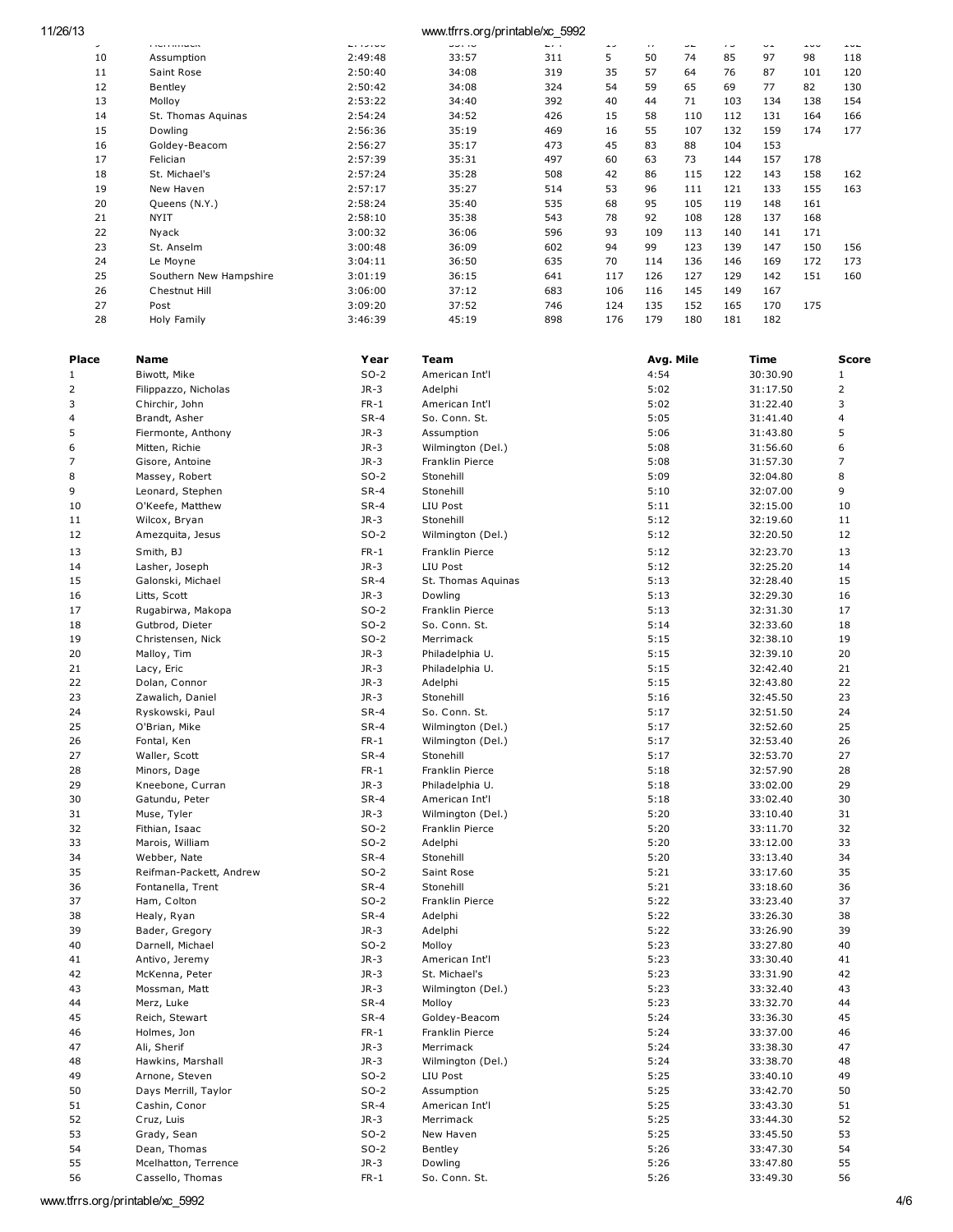| 11/26/13 |    |                          | www.tfrrs.org/printable/xc_5992 |              |              |     |         |     |     |     |     |     |
|----------|----|--------------------------|---------------------------------|--------------|--------------|-----|---------|-----|-----|-----|-----|-----|
|          | ے  | <b><i>CONTRACTOR</i></b> | <b>.</b>                        | <b>UU.IU</b> | <b>. .</b> . | ر د | $\cdot$ | ے ب | ر . | ے ب | ューー | --- |
|          | 10 | Assumption               | 2:49:48                         | 33:57        | 311          | 5   | 50      | 74  | 85  | 97  | 98  | 118 |
|          | 11 | Saint Rose               | 2:50:40                         | 34:08        | 319          | 35  | 57      | 64  | 76  | 87  | 101 | 120 |
|          | 12 | Bentley                  | 2:50:42                         | 34:08        | 324          | 54  | 59      | 65  | 69  | 77  | 82  | 130 |
|          | 13 | Molloy                   | 2:53:22                         | 34:40        | 392          | 40  | 44      | 71  | 103 | 134 | 138 | 154 |
|          | 14 | St. Thomas Aquinas       | 2:54:24                         | 34:52        | 426          | 15  | 58      | 110 | 112 | 131 | 164 | 166 |
|          | 15 | Dowling                  | 2:56:36                         | 35:19        | 469          | 16  | 55      | 107 | 132 | 159 | 174 | 177 |
|          | 16 | Goldey-Beacom            | 2:56:27                         | 35:17        | 473          | 45  | 83      | 88  | 104 | 153 |     |     |
|          | 17 | Felician                 | 2:57:39                         | 35:31        | 497          | 60  | 63      | 73  | 144 | 157 | 178 |     |
|          | 18 | St. Michael's            | 2:57:24                         | 35:28        | 508          | 42  | 86      | 115 | 122 | 143 | 158 | 162 |
|          | 19 | New Haven                | 2:57:17                         | 35:27        | 514          | 53  | 96      | 111 | 121 | 133 | 155 | 163 |
|          | 20 | Queens (N.Y.)            | 2:58:24                         | 35:40        | 535          | 68  | 95      | 105 | 119 | 148 | 161 |     |
|          | 21 | <b>NYIT</b>              | 2:58:10                         | 35:38        | 543          | 78  | 92      | 108 | 128 | 137 | 168 |     |
|          | 22 | Nyack                    | 3:00:32                         | 36:06        | 596          | 93  | 109     | 113 | 140 | 141 | 171 |     |
|          | 23 | St. Anselm               | 3:00:48                         | 36:09        | 602          | 94  | 99      | 123 | 139 | 147 | 150 | 156 |
|          | 24 | Le Moyne                 | 3:04:11                         | 36:50        | 635          | 70  | 114     | 136 | 146 | 169 | 172 | 173 |
|          | 25 | Southern New Hampshire   | 3:01:19                         | 36:15        | 641          | 117 | 126     | 127 | 129 | 142 | 151 | 160 |
|          | 26 | Chestnut Hill            | 3:06:00                         | 37:12        | 683          | 106 | 116     | 145 | 149 | 167 |     |     |
|          | 27 | Post                     | 3:09:20                         | 37:52        | 746          | 124 | 135     | 152 | 165 | 170 | 175 |     |
|          | 28 | Holy Family              | 3:46:39                         | 45:19        | 898          | 176 | 179     | 180 | 181 | 182 |     |     |

| Place          | Name                    | Year   | Team               | Avg. Mile | Time     | Score |
|----------------|-------------------------|--------|--------------------|-----------|----------|-------|
| $1\,$          | Biwott, Mike            | $SO-2$ | American Int'l     | 4:54      | 30:30.90 | 1     |
| $\overline{2}$ | Filippazzo, Nicholas    | $JR-3$ | Adelphi            | 5:02      | 31:17.50 | 2     |
| 3              | Chirchir, John          | $FR-1$ | American Int'l     | 5:02      | 31:22.40 | 3     |
| 4              | Brandt, Asher           | $SR-4$ | So. Conn. St.      | 5:05      | 31:41.40 | 4     |
| 5              | Fiermonte, Anthony      | $JR-3$ | Assumption         | 5:06      | 31:43.80 | 5     |
| 6              | Mitten, Richie          | $JR-3$ | Wilmington (Del.)  | 5:08      | 31:56.60 | 6     |
| 7              | Gisore, Antoine         | $JR-3$ | Franklin Pierce    | 5:08      | 31:57.30 | 7     |
| 8              | Massey, Robert          | $SO-2$ | Stonehill          | 5:09      | 32:04.80 | 8     |
| 9              | Leonard, Stephen        | $SR-4$ | Stonehill          | 5:10      | 32:07.00 | 9     |
| 10             | O'Keefe, Matthew        | $SR-4$ | LIU Post           | 5:11      | 32:15.00 | 10    |
| 11             | Wilcox, Bryan           | $JR-3$ | Stonehill          | 5:12      | 32:19.60 | 11    |
| 12             | Amezquita, Jesus        | $SO-2$ | Wilmington (Del.)  | 5:12      | 32:20.50 | 12    |
| 13             | Smith, BJ               | $FR-1$ | Franklin Pierce    | 5:12      | 32:23.70 | 13    |
| 14             | Lasher, Joseph          | $JR-3$ | LIU Post           | 5:12      | 32:25.20 | 14    |
| 15             | Galonski, Michael       | $SR-4$ | St. Thomas Aquinas | 5:13      | 32:28.40 | 15    |
| 16             | Litts, Scott            | $JR-3$ | Dowling            | 5:13      | 32:29.30 | 16    |
| 17             | Rugabirwa, Makopa       | $SO-2$ | Franklin Pierce    | 5:13      | 32:31.30 | 17    |
| 18             | Gutbrod, Dieter         | $SO-2$ | So. Conn. St.      | 5:14      | 32:33.60 | 18    |
| 19             | Christensen, Nick       | $SO-2$ | Merrimack          | 5:15      | 32:38.10 | 19    |
| 20             | Malloy, Tim             | $JR-3$ | Philadelphia U.    | 5:15      | 32:39.10 | 20    |
| 21             | Lacy, Eric              | $JR-3$ | Philadelphia U.    | 5:15      | 32:42.40 | 21    |
| 22             | Dolan, Connor           | $JR-3$ | Adelphi            | 5:15      | 32:43.80 | 22    |
| 23             | Zawalich, Daniel        | $JR-3$ | Stonehill          | 5:16      | 32:45.50 | 23    |
| 24             | Ryskowski, Paul         | $SR-4$ | So. Conn. St.      | 5:17      | 32:51.50 | 24    |
| 25             | O'Brian, Mike           | $SR-4$ | Wilmington (Del.)  | 5:17      | 32:52.60 | 25    |
| 26             | Fontal, Ken             | $FR-1$ | Wilmington (Del.)  | 5:17      | 32:53.40 | 26    |
| 27             | Waller, Scott           | $SR-4$ | Stonehill          | 5:17      | 32:53.70 | 27    |
| 28             | Minors, Dage            | $FR-1$ | Franklin Pierce    | 5:18      | 32:57.90 | 28    |
| 29             | Kneebone, Curran        | $JR-3$ | Philadelphia U.    | 5:18      | 33:02.00 | 29    |
| 30             | Gatundu, Peter          | $SR-4$ | American Int'l     | 5:18      | 33:02.40 | 30    |
| 31             | Muse, Tyler             | $JR-3$ | Wilmington (Del.)  | 5:20      | 33:10.40 | 31    |
| 32             | Fithian, Isaac          | $SO-2$ | Franklin Pierce    | 5:20      | 33:11.70 | 32    |
| 33             | Marois, William         | $SO-2$ | Adelphi            | 5:20      | 33:12.00 | 33    |
| 34             | Webber, Nate            | $SR-4$ | Stonehill          | 5:20      | 33:13.40 | 34    |
| 35             | Reifman-Packett, Andrew | $SO-2$ | Saint Rose         | 5:21      | 33:17.60 | 35    |
| 36             | Fontanella, Trent       | $SR-4$ | Stonehill          | 5:21      | 33:18.60 | 36    |
| 37             | Ham, Colton             | $SO-2$ | Franklin Pierce    | 5:22      | 33:23.40 | 37    |
| 38             | Healy, Ryan             | $SR-4$ | Adelphi            | 5:22      | 33:26.30 | 38    |
| 39             | Bader, Gregory          | $JR-3$ | Adelphi            | 5:22      | 33:26.90 | 39    |
| 40             | Darnell, Michael        | $SO-2$ | Molloy             | 5:23      | 33:27.80 | 40    |
| 41             | Antivo, Jeremy          | $JR-3$ | American Int'l     | 5:23      | 33:30.40 | 41    |
| 42             | McKenna, Peter          | $JR-3$ | St. Michael's      | 5:23      | 33:31.90 | 42    |
| 43             | Mossman, Matt           | $JR-3$ | Wilmington (Del.)  | 5:23      | 33:32.40 | 43    |
| 44             | Merz, Luke              | $SR-4$ | Molloy             | 5:23      | 33:32.70 | 44    |
| 45             | Reich, Stewart          | $SR-4$ | Goldey-Beacom      | 5:24      | 33:36.30 | 45    |
| 46             | Holmes, Jon             | $FR-1$ | Franklin Pierce    | 5:24      | 33:37.00 | 46    |
| 47             | Ali, Sherif             | $JR-3$ | Merrimack          | 5:24      | 33:38.30 | 47    |
| 48             | Hawkins, Marshall       | $JR-3$ | Wilmington (Del.)  | 5:24      | 33:38.70 | 48    |
| 49             | Arnone, Steven          | $SO-2$ | LIU Post           | 5:25      | 33:40.10 | 49    |
| 50             | Days Merrill, Taylor    | $SO-2$ | Assumption         | 5:25      | 33:42.70 | 50    |
| 51             | Cashin, Conor           | $SR-4$ | American Int'l     | 5:25      | 33:43.30 | 51    |
| 52             | Cruz, Luis              | $JR-3$ | Merrimack          | 5:25      | 33:44.30 | 52    |
| 53             | Grady, Sean             | $SO-2$ | New Haven          | 5:25      | 33:45.50 | 53    |
| 54             | Dean, Thomas            | $SO-2$ | Bentley            | 5:26      | 33:47.30 | 54    |
| 55             | Mcelhatton, Terrence    | $JR-3$ | Dowling            | 5:26      | 33:47.80 | 55    |
| 56             | Cassello, Thomas        | $FR-1$ | So. Conn. St.      | 5:26      | 33:49.30 | 56    |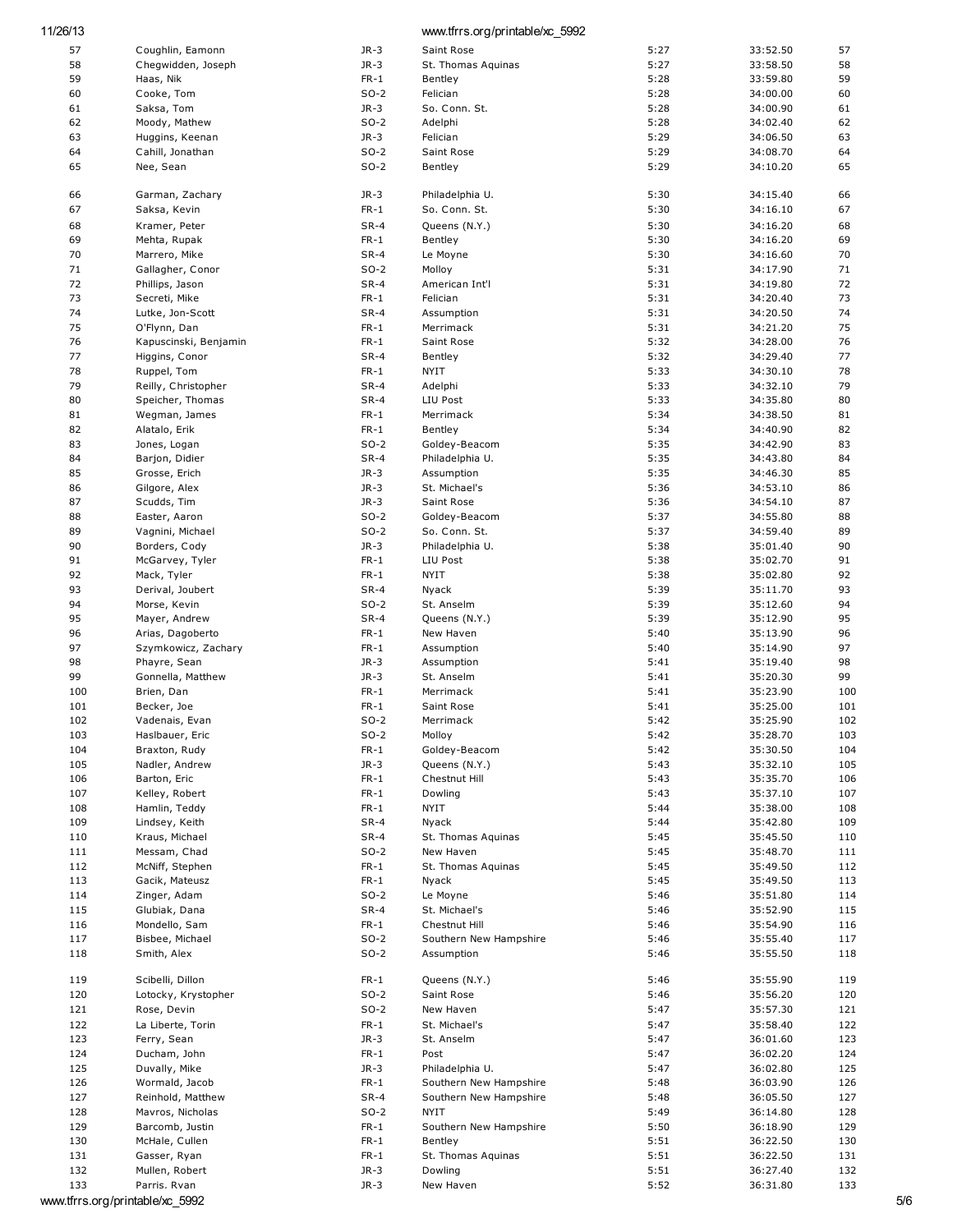| 11/26/13   |                               |                  | www.tfrrs.org/printable/xc_5992 |              |                      |            |
|------------|-------------------------------|------------------|---------------------------------|--------------|----------------------|------------|
| 57         | Coughlin, Eamonn              | $JR-3$           | Saint Rose                      | 5:27         | 33:52.50             | 57         |
| 58         | Chegwidden, Joseph            | $JR-3$           | St. Thomas Aguinas              | 5:27         | 33:58.50             | 58         |
| 59         | Haas, Nik                     | $FR-1$           | Bentley                         | 5:28         | 33:59.80             | 59         |
| 60         | Cooke, Tom                    | $SO-2$           | Felician                        | 5:28         | 34:00.00             | 60         |
| 61         | Saksa, Tom                    | $JR-3$           | So. Conn. St.                   | 5:28         | 34:00.90             | 61         |
| 62         | Moody, Mathew                 | $SO-2$           | Adelphi                         | 5:28         | 34:02.40             | 62         |
| 63         | Huggins, Keenan               | $JR-3$           | Felician                        | 5:29         | 34:06.50             | 63         |
| 64         | Cahill, Jonathan              | $SO-2$           | Saint Rose                      | 5:29         | 34:08.70             | 64         |
| 65         | Nee, Sean                     | $SO-2$           | Bentley                         | 5:29         | 34:10.20             | 65         |
| 66         | Garman, Zachary               | $JR-3$           | Philadelphia U.                 | 5:30         | 34:15.40             | 66         |
| 67         | Saksa, Kevin                  | $FR-1$           | So. Conn. St.                   | 5:30         | 34:16.10             | 67         |
| 68         | Kramer, Peter                 | $SR-4$           | Queens (N.Y.)                   | 5:30         | 34:16.20             | 68         |
| 69         | Mehta, Rupak                  | $FR-1$           | Bentley                         | 5:30         | 34:16.20             | 69         |
| 70         | Marrero, Mike                 | $SR-4$           | Le Moyne                        | 5:30         | 34:16.60             | 70         |
| 71         | Gallagher, Conor              | $SO-2$           | Molloy                          | 5:31         | 34:17.90             | 71         |
| 72         | Phillips, Jason               | $SR-4$           | American Int'l                  | 5:31         | 34:19.80             | 72         |
| 73         | Secreti, Mike                 | $FR-1$           | Felician                        | 5:31         | 34:20.40             | 73         |
| 74         | Lutke, Jon-Scott              | $SR-4$           | Assumption                      | 5:31         | 34:20.50             | 74         |
| 75         | O'Flynn, Dan                  | $FR-1$           | Merrimack                       | 5:31         | 34:21.20             | 75         |
| 76         | Kapuscinski, Benjamin         | $FR-1$           | Saint Rose                      | 5:32         | 34:28.00             | 76         |
| 77         | Higgins, Conor                | $SR-4$           | Bentley                         | 5:32         | 34:29.40             | 77         |
| 78         | Ruppel, Tom                   | $FR-1$           | <b>NYIT</b>                     | 5:33         | 34:30.10             | 78         |
| 79         | Reilly, Christopher           | $SR-4$           | Adelphi                         | 5:33         | 34:32.10             | 79         |
| 80         | Speicher, Thomas              | $SR-4$           | LIU Post                        | 5:33         | 34:35.80             | 80         |
| 81         | Wegman, James                 | $FR-1$           | Merrimack                       | 5:34         | 34:38.50             | 81         |
| 82         | Alatalo, Erik                 | $FR-1$           | Bentley                         | 5:34         | 34:40.90             | 82         |
| 83         | Jones, Logan                  | $SO-2$           | Goldey-Beacom                   | 5:35         | 34:42.90             | 83         |
| 84         | Barjon, Didier                | $SR-4$           | Philadelphia U.                 | 5:35         | 34:43.80             | 84         |
| 85         | Grosse, Erich                 | $JR-3$           | Assumption                      | 5:35         | 34:46.30             | 85         |
| 86         | Gilgore, Alex                 | $JR-3$           | St. Michael's                   | 5:36         | 34:53.10             | 86         |
| 87         | Scudds, Tim                   | $JR-3$           | Saint Rose                      | 5:36         | 34:54.10             | 87         |
| 88         | Easter, Aaron                 | $SO-2$           | Goldey-Beacom                   | 5:37         | 34:55.80             | 88         |
| 89         | Vagnini, Michael              | $SO-2$           | So. Conn. St.                   | 5:37         | 34:59.40             | 89         |
| 90         | Borders, Cody                 | $JR-3$           | Philadelphia U.                 | 5:38         | 35:01.40             | 90         |
| 91         | McGarvey, Tyler               | $FR-1$           | LIU Post                        | 5:38         | 35:02.70             | 91         |
| 92         | Mack, Tyler                   | $FR-1$           | <b>NYIT</b>                     | 5:38         | 35:02.80             | 92         |
| 93         | Derival, Joubert              | $SR-4$           | Nyack                           | 5:39         | 35:11.70             | 93         |
| 94         | Morse, Kevin                  | $SO-2$           | St. Anselm                      | 5:39         | 35:12.60             | 94         |
| 95         | Mayer, Andrew                 | $SR-4$           | Queens (N.Y.)                   | 5:39         | 35:12.90             | 95         |
| 96         | Arias, Dagoberto              | $FR-1$           | New Haven                       | 5:40         | 35:13.90             | 96         |
| 97         | Szymkowicz, Zachary           | $FR-1$           | Assumption                      | 5:40         | 35:14.90             | 97         |
| 98         | Phayre, Sean                  | $JR-3$           | Assumption                      | 5:41         | 35:19.40             | 98         |
| 99         | Gonnella, Matthew             | $JR-3$           | St. Anselm                      | 5:41         | 35:20.30             | 99         |
| 100<br>101 | Brien, Dan                    | $FR-1$<br>$FR-1$ | Merrimack<br>Saint Rose         | 5:41<br>5:41 | 35:23.90             | 100<br>101 |
| 102        | Becker, Joe<br>Vadenais, Evan | $SO-2$           | Merrimack                       | 5:42         | 35:25.00<br>35:25.90 | 102        |
| 103        | Haslbauer, Eric               | $SO-2$           | Molloy                          | 5:42         | 35:28.70             | 103        |
| 104        | Braxton, Rudy                 | $FR-1$           | Goldey-Beacom                   | 5:42         | 35:30.50             | 104        |
| 105        | Nadler, Andrew                | $JR-3$           | Queens (N.Y.)                   | 5:43         | 35:32.10             | 105        |
| 106        | Barton, Eric                  | $FR-1$           | Chestnut Hill                   | 5:43         | 35:35.70             | 106        |
| 107        | Kelley, Robert                | $FR-1$           | Dowling                         | 5:43         | 35:37.10             | 107        |
| 108        | Hamlin, Teddy                 | $FR-1$           | NYIT                            | 5:44         | 35:38.00             | 108        |
| 109        | Lindsey, Keith                | $SR-4$           | Nyack                           | 5:44         | 35:42.80             | 109        |
| 110        | Kraus, Michael                | $SR-4$           | St. Thomas Aquinas              | 5:45         | 35:45.50             | 110        |
| 111        | Messam, Chad                  | $SO-2$           | New Haven                       | 5:45         | 35:48.70             | 111        |
| 112        | McNiff, Stephen               | $FR-1$           | St. Thomas Aguinas              | 5:45         | 35:49.50             | 112        |
| 113        | Gacik, Mateusz                | $FR-1$           | Nyack                           | 5:45         | 35:49.50             | 113        |
| 114        | Zinger, Adam                  | $SO-2$           | Le Moyne                        | 5:46         | 35:51.80             | 114        |
| 115        | Glubiak, Dana                 | $SR-4$           | St. Michael's                   | 5:46         | 35:52.90             | 115        |
| 116        | Mondello, Sam                 | $FR-1$           | Chestnut Hill                   | 5:46         | 35:54.90             | 116        |
| 117        | Bisbee, Michael               | $SO-2$           | Southern New Hampshire          | 5:46         | 35:55.40             | 117        |
| 118        | Smith, Alex                   | $SO-2$           | Assumption                      | 5:46         | 35:55.50             | 118        |
| 119        | Scibelli, Dillon              | $FR-1$           | Queens (N.Y.)                   | 5:46         | 35:55.90             | 119        |
| 120        | Lotocky, Krystopher           | $SO-2$           | Saint Rose                      | 5:46         | 35:56.20             | 120        |
| 121        | Rose, Devin                   | $SO-2$           | New Haven                       | 5:47         | 35:57.30             | 121        |
| 122        | La Liberte, Torin             | $FR-1$           | St. Michael's                   | 5:47         | 35:58.40             | 122        |
| 123        | Ferry, Sean                   | $JR-3$           | St. Anselm                      | 5:47         | 36:01.60             | 123        |
| 124        | Ducham, John                  | $FR-1$           | Post                            | 5:47         | 36:02.20             | 124        |
| 125        | Duvally, Mike                 | $JR-3$           | Philadelphia U.                 | 5:47         | 36:02.80             | 125        |
| 126        | Wormald, Jacob                | $FR-1$           | Southern New Hampshire          | 5:48         | 36:03.90             | 126        |
| 127        | Reinhold, Matthew             | $SR-4$           | Southern New Hampshire          | 5:48         | 36:05.50             | 127        |
| 128        | Mavros, Nicholas              | $SO-2$           | <b>NYIT</b>                     | 5:49         | 36:14.80             | 128        |
| 129        | Barcomb, Justin               | $FR-1$           | Southern New Hampshire          | 5:50         | 36:18.90             | 129        |
| 130        | McHale, Cullen                | $FR-1$           | Bentley                         | 5:51         | 36:22.50             | 130        |
| 131        | Gasser, Ryan                  | $FR-1$           | St. Thomas Aquinas              | 5:51         | 36:22.50             | 131        |
| 132        | Mullen, Robert                | $JR-3$           | Dowling                         | 5:51         | 36:27.40             | 132        |
| 133        | Parris. Rvan                  | $JR-3$           | New Haven                       | 5:52         | 36:31.80             | 133        |